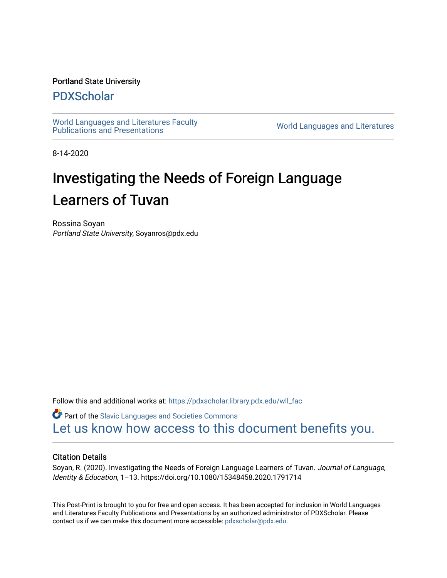#### Portland State University

### [PDXScholar](https://pdxscholar.library.pdx.edu/)

[World Languages and Literatures Faculty](https://pdxscholar.library.pdx.edu/wll_fac)  world Languages and Literatures Faculty<br>Publications and Presentations

8-14-2020

# Investigating the Needs of Foreign Language Learners of Tuvan

Rossina Soyan Portland State University, Soyanros@pdx.edu

Follow this and additional works at: [https://pdxscholar.library.pdx.edu/wll\\_fac](https://pdxscholar.library.pdx.edu/wll_fac?utm_source=pdxscholar.library.pdx.edu%2Fwll_fac%2F137&utm_medium=PDF&utm_campaign=PDFCoverPages)

**P** Part of the Slavic Languages and Societies Commons [Let us know how access to this document benefits you.](http://library.pdx.edu/services/pdxscholar-services/pdxscholar-feedback/?ref=https://pdxscholar.library.pdx.edu/wll_fac/137) 

#### Citation Details

Soyan, R. (2020). Investigating the Needs of Foreign Language Learners of Tuvan. Journal of Language, Identity & Education, 1–13. https://doi.org/10.1080/15348458.2020.1791714

This Post-Print is brought to you for free and open access. It has been accepted for inclusion in World Languages and Literatures Faculty Publications and Presentations by an authorized administrator of PDXScholar. Please contact us if we can make this document more accessible: [pdxscholar@pdx.edu](mailto:pdxscholar@pdx.edu).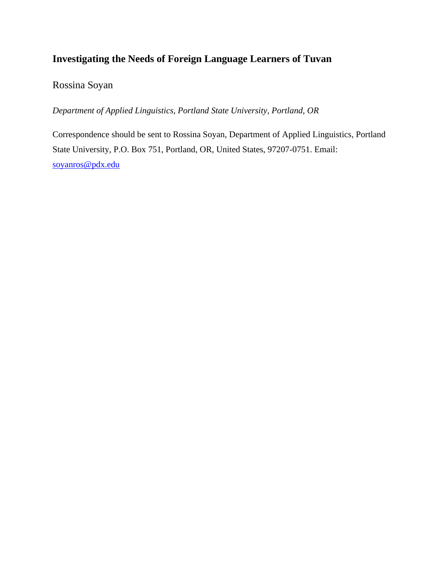# **Investigating the Needs of Foreign Language Learners of Tuvan**

Rossina Soyan

*Department of Applied Linguistics, Portland State University, Portland, OR*

Correspondence should be sent to Rossina Soyan, Department of Applied Linguistics, Portland State University, P.O. Box 751, Portland, OR, United States, 97207-0751. Email: [soyanros@pdx.edu](mailto:soyanros@pdx.edu)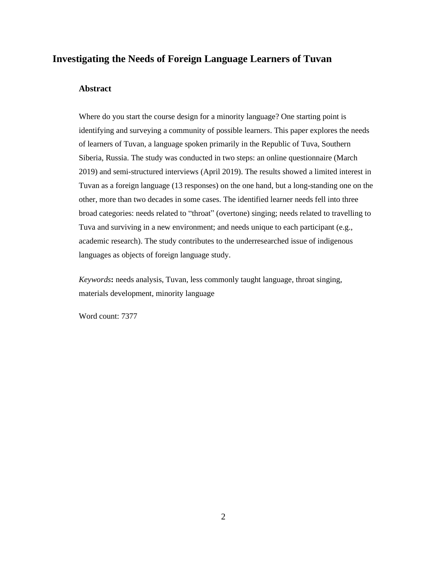### **Investigating the Needs of Foreign Language Learners of Tuvan**

#### **Abstract**

Where do you start the course design for a minority language? One starting point is identifying and surveying a community of possible learners. This paper explores the needs of learners of Tuvan, a language spoken primarily in the Republic of Tuva, Southern Siberia, Russia. The study was conducted in two steps: an online questionnaire (March 2019) and semi-structured interviews (April 2019). The results showed a limited interest in Tuvan as a foreign language (13 responses) on the one hand, but a long-standing one on the other, more than two decades in some cases. The identified learner needs fell into three broad categories: needs related to "throat" (overtone) singing; needs related to travelling to Tuva and surviving in a new environment; and needs unique to each participant (e.g., academic research). The study contributes to the underresearched issue of indigenous languages as objects of foreign language study.

*Keywords***:** needs analysis, Tuvan, less commonly taught language, throat singing, materials development, minority language

Word count: 7377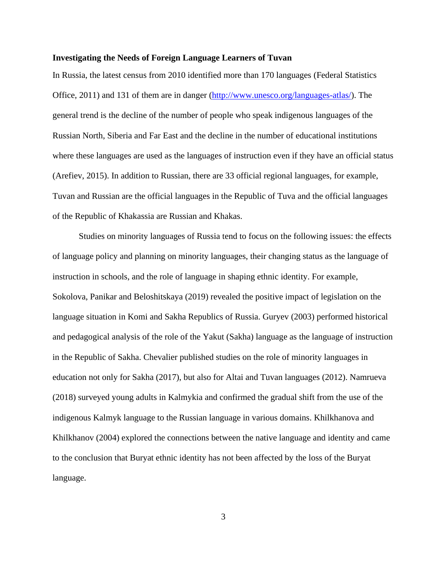#### **Investigating the Needs of Foreign Language Learners of Tuvan**

In Russia, the latest census from 2010 identified more than 170 languages (Federal Statistics Office, 2011) and 131 of them are in danger [\(http://www.unesco.org/languages-atlas/\)](http://www.unesco.org/languages-atlas/). The general trend is the decline of the number of people who speak indigenous languages of the Russian North, Siberia and Far East and the decline in the number of educational institutions where these languages are used as the languages of instruction even if they have an official status (Arefiev, 2015). In addition to Russian, there are 33 official regional languages, for example, Tuvan and Russian are the official languages in the Republic of Tuva and the official languages of the Republic of Khakassia are Russian and Khakas.

Studies on minority languages of Russia tend to focus on the following issues: the effects of language policy and planning on minority languages, their changing status as the language of instruction in schools, and the role of language in shaping ethnic identity. For example, Sokolova, Panikar and Beloshitskaya (2019) revealed the positive impact of legislation on the language situation in Komi and Sakha Republics of Russia. Guryev (2003) performed historical and pedagogical analysis of the role of the Yakut (Sakha) language as the language of instruction in the Republic of Sakha. Chevalier published studies on the role of minority languages in education not only for Sakha (2017), but also for Altai and Tuvan languages (2012). Namrueva (2018) surveyed young adults in Kalmykia and confirmed the gradual shift from the use of the indigenous Kalmyk language to the Russian language in various domains. Khilkhanova and Khilkhanov (2004) explored the connections between the native language and identity and came to the conclusion that Buryat ethnic identity has not been affected by the loss of the Buryat language.

3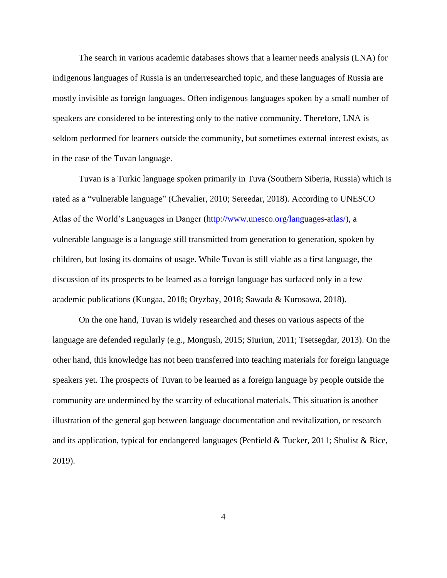The search in various academic databases shows that a learner needs analysis (LNA) for indigenous languages of Russia is an underresearched topic, and these languages of Russia are mostly invisible as foreign languages. Often indigenous languages spoken by a small number of speakers are considered to be interesting only to the native community. Therefore, LNA is seldom performed for learners outside the community, but sometimes external interest exists, as in the case of the Tuvan language.

Tuvan is a Turkic language spoken primarily in Tuva (Southern Siberia, Russia) which is rated as a "vulnerable language" (Chevalier, 2010; Sereedar, 2018). According to UNESCO Atlas of the World's Languages in Danger [\(http://www.unesco.org/languages-atlas/\)](http://www.unesco.org/languages-atlas/), a vulnerable language is a language still transmitted from generation to generation, spoken by children, but losing its domains of usage. While Tuvan is still viable as a first language, the discussion of its prospects to be learned as a foreign language has surfaced only in a few academic publications (Kungaa, 2018; Otyzbay, 2018; Sawada & Kurosawa, 2018).

On the one hand, Tuvan is widely researched and theses on various aspects of the language are defended regularly (e.g., Mongush, 2015; Siuriun, 2011; Tsetsegdar, 2013). On the other hand, this knowledge has not been transferred into teaching materials for foreign language speakers yet. The prospects of Tuvan to be learned as a foreign language by people outside the community are undermined by the scarcity of educational materials. This situation is another illustration of the general gap between language documentation and revitalization, or research and its application, typical for endangered languages (Penfield & Tucker, 2011; Shulist & Rice, 2019).

4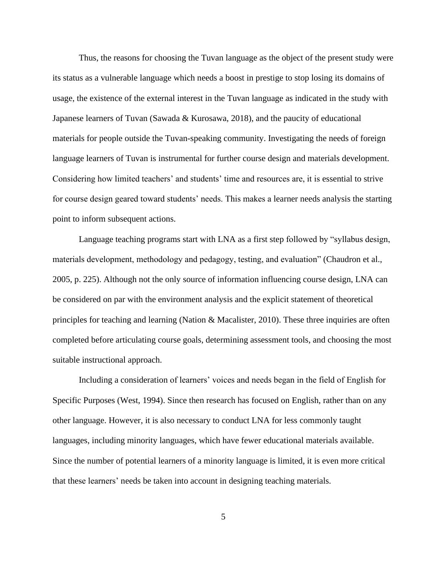Thus, the reasons for choosing the Tuvan language as the object of the present study were its status as a vulnerable language which needs a boost in prestige to stop losing its domains of usage, the existence of the external interest in the Tuvan language as indicated in the study with Japanese learners of Tuvan (Sawada & Kurosawa, 2018), and the paucity of educational materials for people outside the Tuvan-speaking community. Investigating the needs of foreign language learners of Tuvan is instrumental for further course design and materials development. Considering how limited teachers' and students' time and resources are, it is essential to strive for course design geared toward students' needs. This makes a learner needs analysis the starting point to inform subsequent actions.

Language teaching programs start with LNA as a first step followed by "syllabus design, materials development, methodology and pedagogy, testing, and evaluation" (Chaudron et al., 2005, p. 225). Although not the only source of information influencing course design, LNA can be considered on par with the environment analysis and the explicit statement of theoretical principles for teaching and learning (Nation & Macalister, 2010). These three inquiries are often completed before articulating course goals, determining assessment tools, and choosing the most suitable instructional approach.

Including a consideration of learners' voices and needs began in the field of English for Specific Purposes (West, 1994). Since then research has focused on English, rather than on any other language. However, it is also necessary to conduct LNA for less commonly taught languages, including minority languages, which have fewer educational materials available. Since the number of potential learners of a minority language is limited, it is even more critical that these learners' needs be taken into account in designing teaching materials.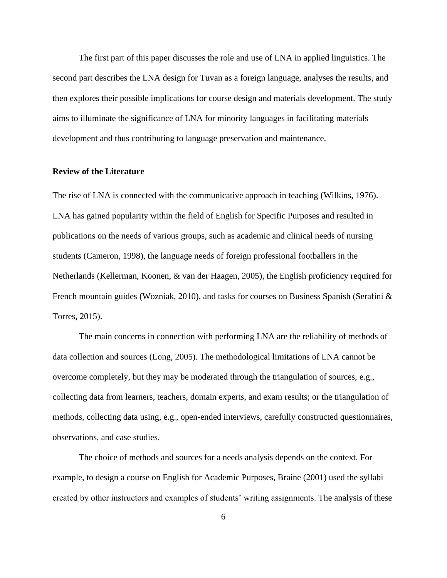The first part of this paper discusses the role and use of LNA in applied linguistics. The second part describes the LNA design for Tuvan as a foreign language, analyses the results, and then explores their possible implications for course design and materials development. The study aims to illuminate the significance of LNA for minority languages in facilitating materials development and thus contributing to language preservation and maintenance.

#### **Review of the Literature**

The rise of LNA is connected with the communicative approach in teaching (Wilkins, 1976). LNA has gained popularity within the field of English for Specific Purposes and resulted in publications on the needs of various groups, such as academic and clinical needs of nursing students (Cameron, 1998), the language needs of foreign professional footballers in the Netherlands (Kellerman, Koonen, & van der Haagen, 2005), the English proficiency required for French mountain guides (Wozniak, 2010), and tasks for courses on Business Spanish (Serafini & Torres, 2015).

The main concerns in connection with performing LNA are the reliability of methods of data collection and sources (Long, 2005). The methodological limitations of LNA cannot be overcome completely, but they may be moderated through the triangulation of sources, e.g., collecting data from learners, teachers, domain experts, and exam results; or the triangulation of methods, collecting data using, e.g., open-ended interviews, carefully constructed questionnaires, observations, and case studies.

The choice of methods and sources for a needs analysis depends on the context. For example, to design a course on English for Academic Purposes, Braine (2001) used the syllabi created by other instructors and examples of students' writing assignments. The analysis of these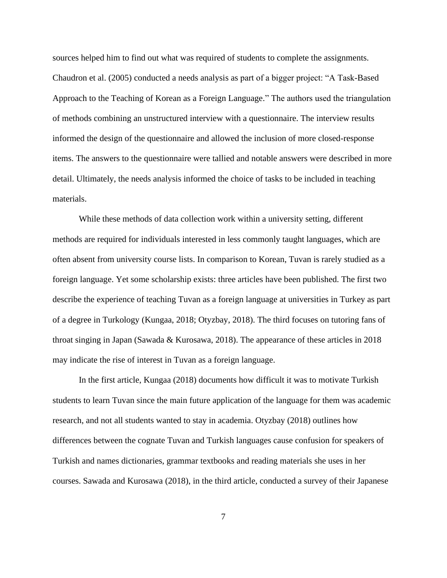sources helped him to find out what was required of students to complete the assignments. Chaudron et al. (2005) conducted a needs analysis as part of a bigger project: "A Task-Based Approach to the Teaching of Korean as a Foreign Language." The authors used the triangulation of methods combining an unstructured interview with a questionnaire. The interview results informed the design of the questionnaire and allowed the inclusion of more closed-response items. The answers to the questionnaire were tallied and notable answers were described in more detail. Ultimately, the needs analysis informed the choice of tasks to be included in teaching materials.

While these methods of data collection work within a university setting, different methods are required for individuals interested in less commonly taught languages, which are often absent from university course lists. In comparison to Korean, Tuvan is rarely studied as a foreign language. Yet some scholarship exists: three articles have been published. The first two describe the experience of teaching Tuvan as a foreign language at universities in Turkey as part of a degree in Turkology (Kungaa, 2018; Otyzbay, 2018). The third focuses on tutoring fans of throat singing in Japan (Sawada & Kurosawa, 2018). The appearance of these articles in 2018 may indicate the rise of interest in Tuvan as a foreign language.

In the first article, Kungaa (2018) documents how difficult it was to motivate Turkish students to learn Tuvan since the main future application of the language for them was academic research, and not all students wanted to stay in academia. Otyzbay (2018) outlines how differences between the cognate Tuvan and Turkish languages cause confusion for speakers of Turkish and names dictionaries, grammar textbooks and reading materials she uses in her courses. Sawada and Kurosawa (2018), in the third article, conducted a survey of their Japanese

7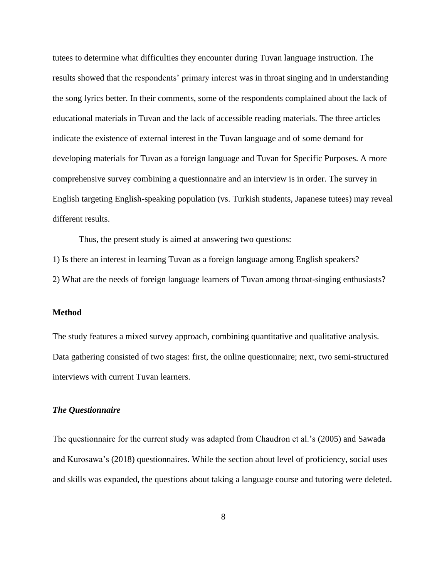tutees to determine what difficulties they encounter during Tuvan language instruction. The results showed that the respondents' primary interest was in throat singing and in understanding the song lyrics better. In their comments, some of the respondents complained about the lack of educational materials in Tuvan and the lack of accessible reading materials. The three articles indicate the existence of external interest in the Tuvan language and of some demand for developing materials for Tuvan as a foreign language and Tuvan for Specific Purposes. A more comprehensive survey combining a questionnaire and an interview is in order. The survey in English targeting English-speaking population (vs. Turkish students, Japanese tutees) may reveal different results.

Thus, the present study is aimed at answering two questions:

1) Is there an interest in learning Tuvan as a foreign language among English speakers?

2) What are the needs of foreign language learners of Tuvan among throat-singing enthusiasts?

#### **Method**

The study features a mixed survey approach, combining quantitative and qualitative analysis. Data gathering consisted of two stages: first, the online questionnaire; next, two semi-structured interviews with current Tuvan learners.

#### *The Questionnaire*

The questionnaire for the current study was adapted from Chaudron et al.'s (2005) and Sawada and Kurosawa's (2018) questionnaires. While the section about level of proficiency, social uses and skills was expanded, the questions about taking a language course and tutoring were deleted.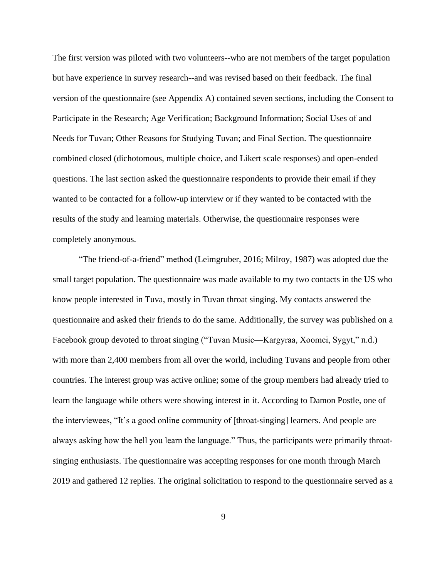The first version was piloted with two volunteers--who are not members of the target population but have experience in survey research--and was revised based on their feedback. The final version of the questionnaire (see Appendix A) contained seven sections, including the Consent to Participate in the Research; Age Verification; Background Information; Social Uses of and Needs for Tuvan; Other Reasons for Studying Tuvan; and Final Section. The questionnaire combined closed (dichotomous, multiple choice, and Likert scale responses) and open-ended questions. The last section asked the questionnaire respondents to provide their email if they wanted to be contacted for a follow-up interview or if they wanted to be contacted with the results of the study and learning materials. Otherwise, the questionnaire responses were completely anonymous.

"The friend-of-a-friend" method (Leimgruber, 2016; Milroy, 1987) was adopted due the small target population. The questionnaire was made available to my two contacts in the US who know people interested in Tuva, mostly in Tuvan throat singing. My contacts answered the questionnaire and asked their friends to do the same. Additionally, the survey was published on a Facebook group devoted to throat singing ("Tuvan Music—Kargyraa, Xoomei, Sygyt," n.d.) with more than 2,400 members from all over the world, including Tuvans and people from other countries. The interest group was active online; some of the group members had already tried to learn the language while others were showing interest in it. According to Damon Postle, one of the interviewees, "It's a good online community of [throat-singing] learners. And people are always asking how the hell you learn the language." Thus, the participants were primarily throatsinging enthusiasts. The questionnaire was accepting responses for one month through March 2019 and gathered 12 replies. The original solicitation to respond to the questionnaire served as a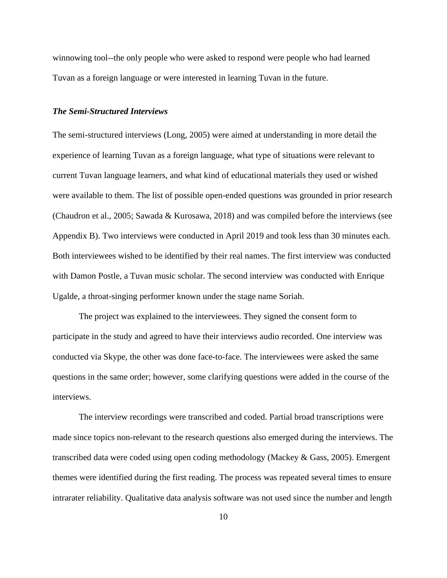winnowing tool--the only people who were asked to respond were people who had learned Tuvan as a foreign language or were interested in learning Tuvan in the future.

#### *The Semi-Structured Interviews*

The semi-structured interviews (Long, 2005) were aimed at understanding in more detail the experience of learning Tuvan as a foreign language, what type of situations were relevant to current Tuvan language learners, and what kind of educational materials they used or wished were available to them. The list of possible open-ended questions was grounded in prior research (Chaudron et al., 2005; Sawada & Kurosawa, 2018) and was compiled before the interviews (see Appendix B). Two interviews were conducted in April 2019 and took less than 30 minutes each. Both interviewees wished to be identified by their real names. The first interview was conducted with Damon Postle, a Tuvan music scholar. The second interview was conducted with Enrique Ugalde, a throat-singing performer known under the stage name Soriah.

The project was explained to the interviewees. They signed the consent form to participate in the study and agreed to have their interviews audio recorded. One interview was conducted via Skype, the other was done face-to-face. The interviewees were asked the same questions in the same order; however, some clarifying questions were added in the course of the interviews.

The interview recordings were transcribed and coded. Partial broad transcriptions were made since topics non-relevant to the research questions also emerged during the interviews. The transcribed data were coded using open coding methodology (Mackey & Gass, 2005). Emergent themes were identified during the first reading. The process was repeated several times to ensure intrarater reliability. Qualitative data analysis software was not used since the number and length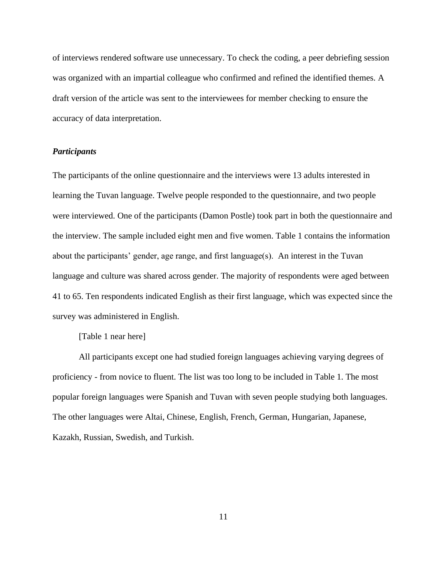of interviews rendered software use unnecessary. To check the coding, a peer debriefing session was organized with an impartial colleague who confirmed and refined the identified themes. A draft version of the article was sent to the interviewees for member checking to ensure the accuracy of data interpretation.

#### *Participants*

The participants of the online questionnaire and the interviews were 13 adults interested in learning the Tuvan language. Twelve people responded to the questionnaire, and two people were interviewed. One of the participants (Damon Postle) took part in both the questionnaire and the interview. The sample included eight men and five women. Table 1 contains the information about the participants' gender, age range, and first language(s). An interest in the Tuvan language and culture was shared across gender. The majority of respondents were aged between 41 to 65. Ten respondents indicated English as their first language, which was expected since the survey was administered in English.

[Table 1 near here]

All participants except one had studied foreign languages achieving varying degrees of proficiency - from novice to fluent. The list was too long to be included in Table 1. The most popular foreign languages were Spanish and Tuvan with seven people studying both languages. The other languages were Altai, Chinese, English, French, German, Hungarian, Japanese, Kazakh, Russian, Swedish, and Turkish.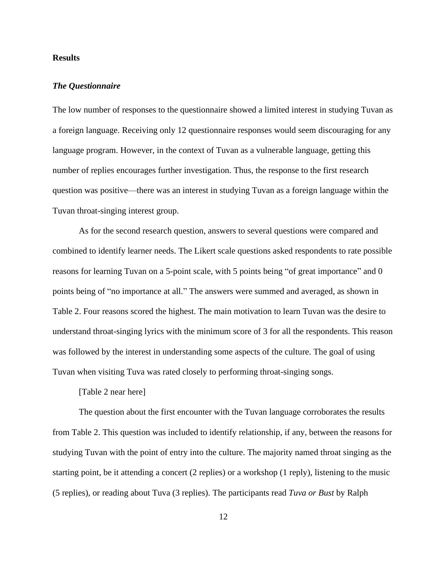#### **Results**

#### *The Questionnaire*

The low number of responses to the questionnaire showed a limited interest in studying Tuvan as a foreign language. Receiving only 12 questionnaire responses would seem discouraging for any language program. However, in the context of Tuvan as a vulnerable language, getting this number of replies encourages further investigation. Thus, the response to the first research question was positive—there was an interest in studying Tuvan as a foreign language within the Tuvan throat-singing interest group.

As for the second research question, answers to several questions were compared and combined to identify learner needs. The Likert scale questions asked respondents to rate possible reasons for learning Tuvan on a 5-point scale, with 5 points being "of great importance" and 0 points being of "no importance at all." The answers were summed and averaged, as shown in Table 2. Four reasons scored the highest. The main motivation to learn Tuvan was the desire to understand throat-singing lyrics with the minimum score of 3 for all the respondents. This reason was followed by the interest in understanding some aspects of the culture. The goal of using Tuvan when visiting Tuva was rated closely to performing throat-singing songs.

[Table 2 near here]

The question about the first encounter with the Tuvan language corroborates the results from Table 2. This question was included to identify relationship, if any, between the reasons for studying Tuvan with the point of entry into the culture. The majority named throat singing as the starting point, be it attending a concert (2 replies) or a workshop (1 reply), listening to the music (5 replies), or reading about Tuva (3 replies). The participants read *Tuva or Bust* by Ralph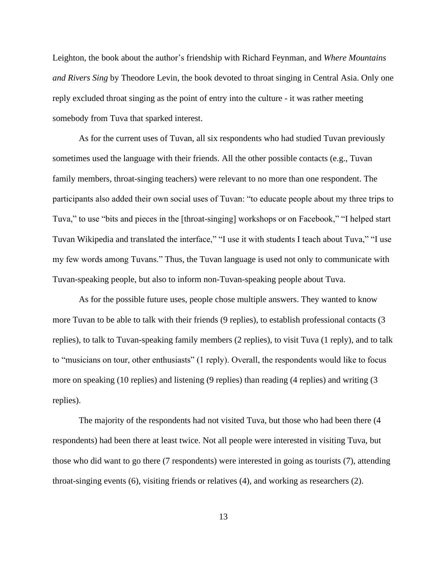Leighton, the book about the author's friendship with Richard Feynman, and *Where Mountains and Rivers Sing* by Theodore Levin, the book devoted to throat singing in Central Asia. Only one reply excluded throat singing as the point of entry into the culture - it was rather meeting somebody from Tuva that sparked interest.

As for the current uses of Tuvan, all six respondents who had studied Tuvan previously sometimes used the language with their friends. All the other possible contacts (e.g., Tuvan family members, throat-singing teachers) were relevant to no more than one respondent. The participants also added their own social uses of Tuvan: "to educate people about my three trips to Tuva," to use "bits and pieces in the [throat-singing] workshops or on Facebook," "I helped start Tuvan Wikipedia and translated the interface," "I use it with students I teach about Tuva," "I use my few words among Tuvans." Thus, the Tuvan language is used not only to communicate with Tuvan-speaking people, but also to inform non-Tuvan-speaking people about Tuva.

As for the possible future uses, people chose multiple answers. They wanted to know more Tuvan to be able to talk with their friends (9 replies), to establish professional contacts (3 replies), to talk to Tuvan-speaking family members (2 replies), to visit Tuva (1 reply), and to talk to "musicians on tour, other enthusiasts" (1 reply). Overall, the respondents would like to focus more on speaking (10 replies) and listening (9 replies) than reading (4 replies) and writing (3 replies).

The majority of the respondents had not visited Tuva, but those who had been there (4 respondents) had been there at least twice. Not all people were interested in visiting Tuva, but those who did want to go there (7 respondents) were interested in going as tourists (7), attending throat-singing events (6), visiting friends or relatives (4), and working as researchers (2).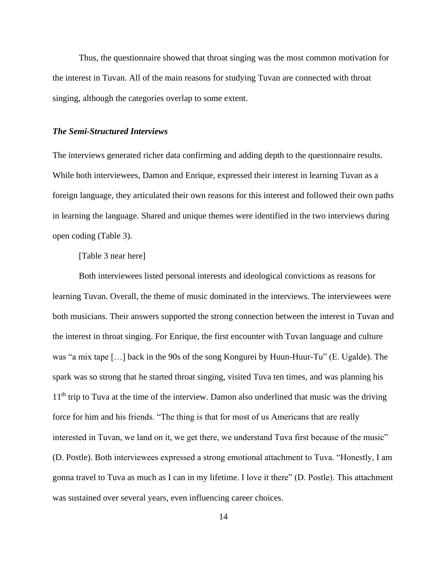Thus, the questionnaire showed that throat singing was the most common motivation for the interest in Tuvan. All of the main reasons for studying Tuvan are connected with throat singing, although the categories overlap to some extent.

#### *The Semi-Structured Interviews*

The interviews generated richer data confirming and adding depth to the questionnaire results. While both interviewees, Damon and Enrique, expressed their interest in learning Tuvan as a foreign language, they articulated their own reasons for this interest and followed their own paths in learning the language. Shared and unique themes were identified in the two interviews during open coding (Table 3).

#### [Table 3 near here]

Both interviewees listed personal interests and ideological convictions as reasons for learning Tuvan. Overall, the theme of music dominated in the interviews. The interviewees were both musicians. Their answers supported the strong connection between the interest in Tuvan and the interest in throat singing. For Enrique, the first encounter with Tuvan language and culture was "a mix tape […] back in the 90s of the song Kongurei by Huun-Huur-Tu" (E. Ugalde). The spark was so strong that he started throat singing, visited Tuva ten times, and was planning his  $11<sup>th</sup>$  trip to Tuva at the time of the interview. Damon also underlined that music was the driving force for him and his friends. "The thing is that for most of us Americans that are really interested in Tuvan, we land on it, we get there, we understand Tuva first because of the music" (D. Postle). Both interviewees expressed a strong emotional attachment to Tuva. "Honestly, I am gonna travel to Tuva as much as I can in my lifetime. I love it there" (D. Postle). This attachment was sustained over several years, even influencing career choices.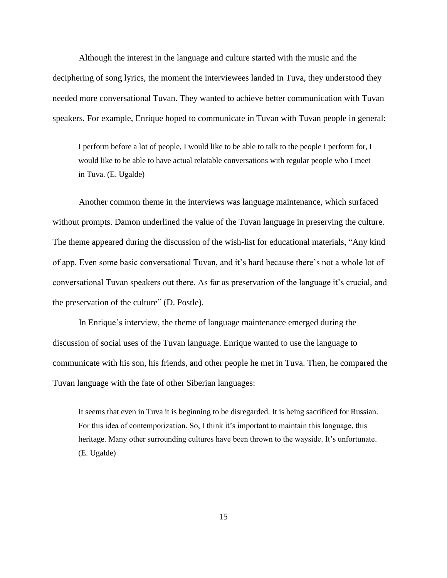Although the interest in the language and culture started with the music and the deciphering of song lyrics, the moment the interviewees landed in Tuva, they understood they needed more conversational Tuvan. They wanted to achieve better communication with Tuvan speakers. For example, Enrique hoped to communicate in Tuvan with Tuvan people in general:

I perform before a lot of people, I would like to be able to talk to the people I perform for, I would like to be able to have actual relatable conversations with regular people who I meet in Tuva. (E. Ugalde)

Another common theme in the interviews was language maintenance, which surfaced without prompts. Damon underlined the value of the Tuvan language in preserving the culture. The theme appeared during the discussion of the wish-list for educational materials, "Any kind of app. Even some basic conversational Tuvan, and it's hard because there's not a whole lot of conversational Tuvan speakers out there. As far as preservation of the language it's crucial, and the preservation of the culture" (D. Postle).

In Enrique's interview, the theme of language maintenance emerged during the discussion of social uses of the Tuvan language. Enrique wanted to use the language to communicate with his son, his friends, and other people he met in Tuva. Then, he compared the Tuvan language with the fate of other Siberian languages:

It seems that even in Tuva it is beginning to be disregarded. It is being sacrificed for Russian. For this idea of contemporization. So, I think it's important to maintain this language, this heritage. Many other surrounding cultures have been thrown to the wayside. It's unfortunate. (E. Ugalde)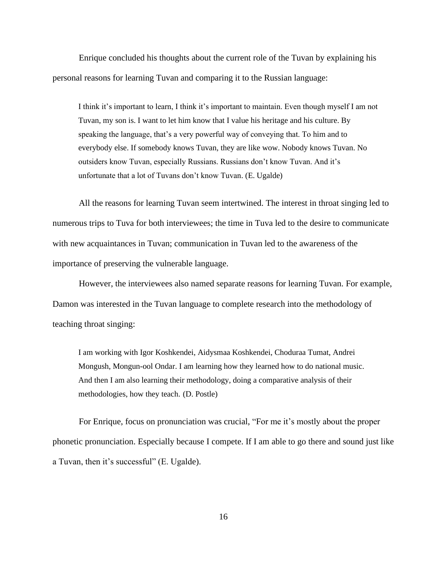Enrique concluded his thoughts about the current role of the Tuvan by explaining his personal reasons for learning Tuvan and comparing it to the Russian language:

I think it's important to learn, I think it's important to maintain. Even though myself I am not Tuvan, my son is. I want to let him know that I value his heritage and his culture. By speaking the language, that's a very powerful way of conveying that. To him and to everybody else. If somebody knows Tuvan, they are like wow. Nobody knows Tuvan. No outsiders know Tuvan, especially Russians. Russians don't know Tuvan. And it's unfortunate that a lot of Tuvans don't know Tuvan. (E. Ugalde)

All the reasons for learning Tuvan seem intertwined. The interest in throat singing led to numerous trips to Tuva for both interviewees; the time in Tuva led to the desire to communicate with new acquaintances in Tuvan; communication in Tuvan led to the awareness of the importance of preserving the vulnerable language.

However, the interviewees also named separate reasons for learning Tuvan. For example, Damon was interested in the Tuvan language to complete research into the methodology of teaching throat singing:

I am working with Igor Koshkendei, Aidysmaa Koshkendei, Choduraa Tumat, Andrei Mongush, Mongun-ool Ondar. I am learning how they learned how to do national music. And then I am also learning their methodology, doing a comparative analysis of their methodologies, how they teach. (D. Postle)

For Enrique, focus on pronunciation was crucial, "For me it's mostly about the proper phonetic pronunciation. Especially because I compete. If I am able to go there and sound just like a Tuvan, then it's successful" (E. Ugalde).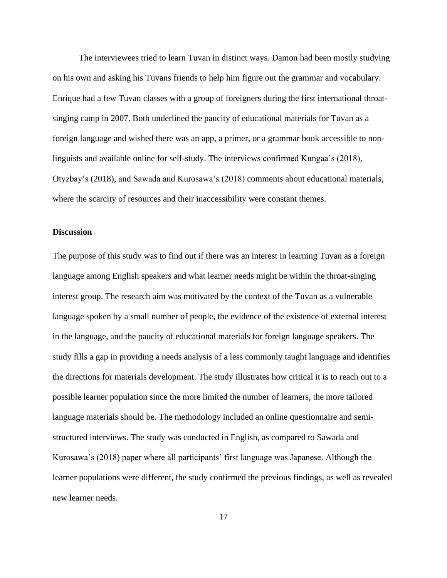The interviewees tried to learn Tuvan in distinct ways. Damon had been mostly studying on his own and asking his Tuvans friends to help him figure out the grammar and vocabulary. Enrique had a few Tuvan classes with a group of foreigners during the first international throatsinging camp in 2007. Both underlined the paucity of educational materials for Tuvan as a foreign language and wished there was an app, a primer, or a grammar book accessible to nonlinguists and available online for self-study. The interviews confirmed Kungaa's (2018), Otyzbay's (2018), and Sawada and Kurosawa's (2018) comments about educational materials, where the scarcity of resources and their inaccessibility were constant themes.

#### **Discussion**

The purpose of this study was to find out if there was an interest in learning Tuvan as a foreign language among English speakers and what learner needs might be within the throat-singing interest group. The research aim was motivated by the context of the Tuvan as a vulnerable language spoken by a small number of people, the evidence of the existence of external interest in the language, and the paucity of educational materials for foreign language speakers. The study fills a gap in providing a needs analysis of a less commonly taught language and identifies the directions for materials development. The study illustrates how critical it is to reach out to a possible learner population since the more limited the number of learners, the more tailored language materials should be. The methodology included an online questionnaire and semistructured interviews. The study was conducted in English, as compared to Sawada and Kurosawa's (2018) paper where all participants' first language was Japanese. Although the learner populations were different, the study confirmed the previous findings, as well as revealed new learner needs.

17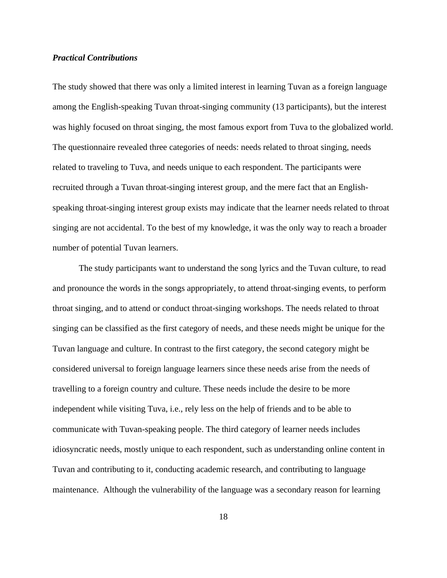#### *Practical Contributions*

The study showed that there was only a limited interest in learning Tuvan as a foreign language among the English-speaking Tuvan throat-singing community (13 participants), but the interest was highly focused on throat singing, the most famous export from Tuva to the globalized world. The questionnaire revealed three categories of needs: needs related to throat singing, needs related to traveling to Tuva, and needs unique to each respondent. The participants were recruited through a Tuvan throat-singing interest group, and the mere fact that an Englishspeaking throat-singing interest group exists may indicate that the learner needs related to throat singing are not accidental. To the best of my knowledge, it was the only way to reach a broader number of potential Tuvan learners.

The study participants want to understand the song lyrics and the Tuvan culture, to read and pronounce the words in the songs appropriately, to attend throat-singing events, to perform throat singing, and to attend or conduct throat-singing workshops. The needs related to throat singing can be classified as the first category of needs, and these needs might be unique for the Tuvan language and culture. In contrast to the first category, the second category might be considered universal to foreign language learners since these needs arise from the needs of travelling to a foreign country and culture. These needs include the desire to be more independent while visiting Tuva, i.e., rely less on the help of friends and to be able to communicate with Tuvan-speaking people. The third category of learner needs includes idiosyncratic needs, mostly unique to each respondent, such as understanding online content in Tuvan and contributing to it, conducting academic research, and contributing to language maintenance. Although the vulnerability of the language was a secondary reason for learning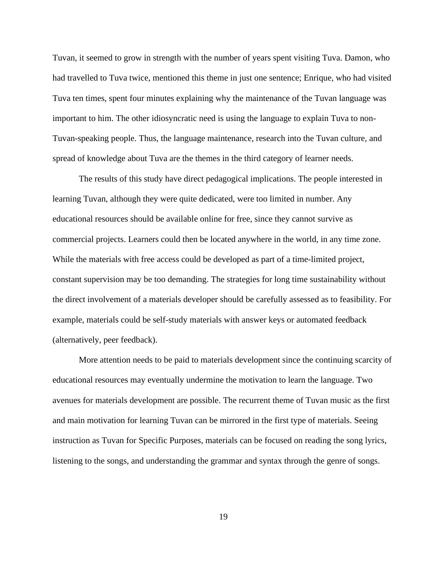Tuvan, it seemed to grow in strength with the number of years spent visiting Tuva. Damon, who had travelled to Tuva twice, mentioned this theme in just one sentence; Enrique, who had visited Tuva ten times, spent four minutes explaining why the maintenance of the Tuvan language was important to him. The other idiosyncratic need is using the language to explain Tuva to non-Tuvan-speaking people. Thus, the language maintenance, research into the Tuvan culture, and spread of knowledge about Tuva are the themes in the third category of learner needs.

The results of this study have direct pedagogical implications. The people interested in learning Tuvan, although they were quite dedicated, were too limited in number. Any educational resources should be available online for free, since they cannot survive as commercial projects. Learners could then be located anywhere in the world, in any time zone. While the materials with free access could be developed as part of a time-limited project, constant supervision may be too demanding. The strategies for long time sustainability without the direct involvement of a materials developer should be carefully assessed as to feasibility. For example, materials could be self-study materials with answer keys or automated feedback (alternatively, peer feedback).

More attention needs to be paid to materials development since the continuing scarcity of educational resources may eventually undermine the motivation to learn the language. Two avenues for materials development are possible. The recurrent theme of Tuvan music as the first and main motivation for learning Tuvan can be mirrored in the first type of materials. Seeing instruction as Tuvan for Specific Purposes, materials can be focused on reading the song lyrics, listening to the songs, and understanding the grammar and syntax through the genre of songs.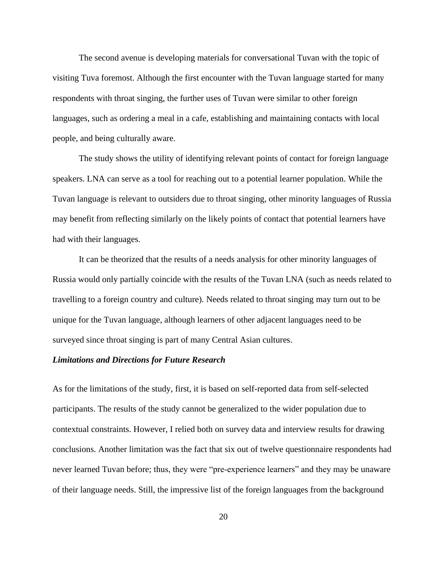The second avenue is developing materials for conversational Tuvan with the topic of visiting Tuva foremost. Although the first encounter with the Tuvan language started for many respondents with throat singing, the further uses of Tuvan were similar to other foreign languages, such as ordering a meal in a cafe, establishing and maintaining contacts with local people, and being culturally aware.

The study shows the utility of identifying relevant points of contact for foreign language speakers. LNA can serve as a tool for reaching out to a potential learner population. While the Tuvan language is relevant to outsiders due to throat singing, other minority languages of Russia may benefit from reflecting similarly on the likely points of contact that potential learners have had with their languages.

It can be theorized that the results of a needs analysis for other minority languages of Russia would only partially coincide with the results of the Tuvan LNA (such as needs related to travelling to a foreign country and culture). Needs related to throat singing may turn out to be unique for the Tuvan language, although learners of other adjacent languages need to be surveyed since throat singing is part of many Central Asian cultures.

#### *Limitations and Directions for Future Research*

As for the limitations of the study, first, it is based on self-reported data from self-selected participants. The results of the study cannot be generalized to the wider population due to contextual constraints. However, I relied both on survey data and interview results for drawing conclusions. Another limitation was the fact that six out of twelve questionnaire respondents had never learned Tuvan before; thus, they were "pre-experience learners" and they may be unaware of their language needs. Still, the impressive list of the foreign languages from the background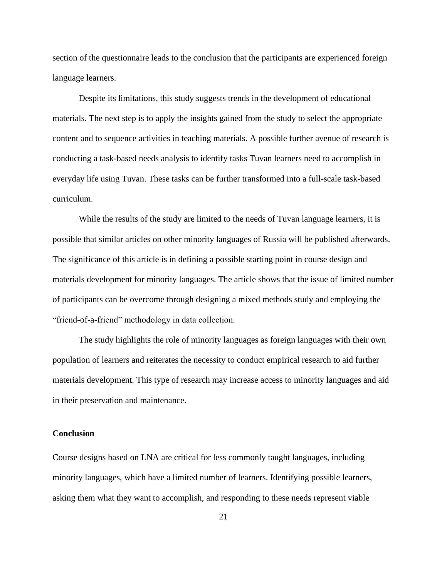section of the questionnaire leads to the conclusion that the participants are experienced foreign language learners.

Despite its limitations, this study suggests trends in the development of educational materials. The next step is to apply the insights gained from the study to select the appropriate content and to sequence activities in teaching materials. A possible further avenue of research is conducting a task-based needs analysis to identify tasks Tuvan learners need to accomplish in everyday life using Tuvan. These tasks can be further transformed into a full-scale task-based curriculum.

While the results of the study are limited to the needs of Tuvan language learners, it is possible that similar articles on other minority languages of Russia will be published afterwards. The significance of this article is in defining a possible starting point in course design and materials development for minority languages. The article shows that the issue of limited number of participants can be overcome through designing a mixed methods study and employing the "friend-of-a-friend" methodology in data collection.

The study highlights the role of minority languages as foreign languages with their own population of learners and reiterates the necessity to conduct empirical research to aid further materials development. This type of research may increase access to minority languages and aid in their preservation and maintenance.

#### **Conclusion**

Course designs based on LNA are critical for less commonly taught languages, including minority languages, which have a limited number of learners. Identifying possible learners, asking them what they want to accomplish, and responding to these needs represent viable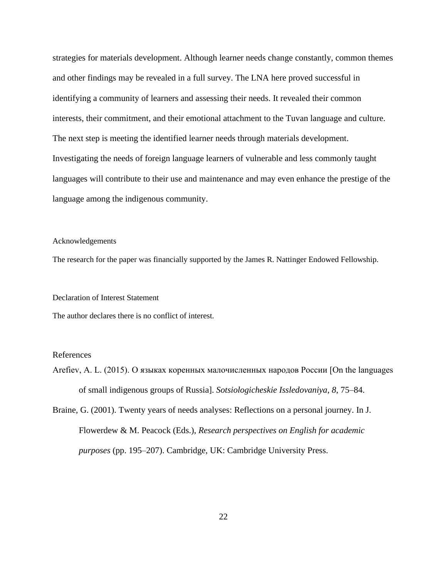strategies for materials development. Although learner needs change constantly, common themes and other findings may be revealed in a full survey. The LNA here proved successful in identifying a community of learners and assessing their needs. It revealed their common interests, their commitment, and their emotional attachment to the Tuvan language and culture. The next step is meeting the identified learner needs through materials development. Investigating the needs of foreign language learners of vulnerable and less commonly taught languages will contribute to their use and maintenance and may even enhance the prestige of the language among the indigenous community.

#### Acknowledgements

The research for the paper was financially supported by the James R. Nattinger Endowed Fellowship.

#### Declaration of Interest Statement

The author declares there is no conflict of interest.

#### References

Arefiev, A. L. (2015). О языках коренных малочисленных народов России [On the languages of small indigenous groups of Russia]. *Sotsiologicheskie Issledovaniya*, *8*, 75–84.

Braine, G. (2001). Twenty years of needs analyses: Reflections on a personal journey. In J. Flowerdew & M. Peacock (Eds.), *Research perspectives on English for academic purposes* (pp. 195–207). Cambridge, UK: Cambridge University Press.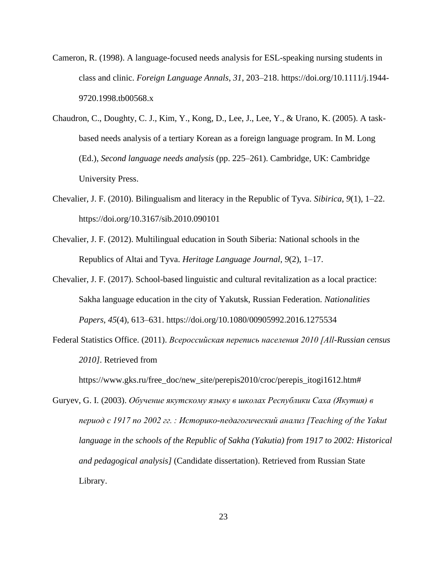- Cameron, R. (1998). A language-focused needs analysis for ESL-speaking nursing students in class and clinic. *Foreign Language Annals*, *31*, 203–218. https://doi.org/10.1111/j.1944- 9720.1998.tb00568.x
- Chaudron, C., Doughty, C. J., Kim, Y., Kong, D., Lee, J., Lee, Y., & Urano, K. (2005). A taskbased needs analysis of a tertiary Korean as a foreign language program. In M. Long (Ed.), *Second language needs analysis* (pp. 225–261). Cambridge, UK: Cambridge University Press.
- Chevalier, J. F. (2010). Bilingualism and literacy in the Republic of Tyva. *Sibirica*, *9*(1), 1–22. https://doi.org/10.3167/sib.2010.090101
- Chevalier, J. F. (2012). Multilingual education in South Siberia: National schools in the Republics of Altai and Tyva. *Heritage Language Journal*, *9*(2), 1–17.
- Chevalier, J. F. (2017). School-based linguistic and cultural revitalization as a local practice: Sakha language education in the city of Yakutsk, Russian Federation. *Nationalities Papers*, *45*(4), 613–631. https://doi.org/10.1080/00905992.2016.1275534
- Federal Statistics Office. (2011). *Всероссийская перепись населения 2010 [All-Russian census 2010]*. Retrieved from

https://www.gks.ru/free\_doc/new\_site/perepis2010/croc/perepis\_itogi1612.htm#

Guryev, G. I. (2003). *Обучение якутскому языку в школах Республики Саха (Якутия) в период с 1917 по 2002 гг. : Историко-педагогический анализ [Teaching of the Yakut language in the schools of the Republic of Sakha (Yakutia) from 1917 to 2002: Historical and pedagogical analysis]* (Candidate dissertation). Retrieved from Russian State Library.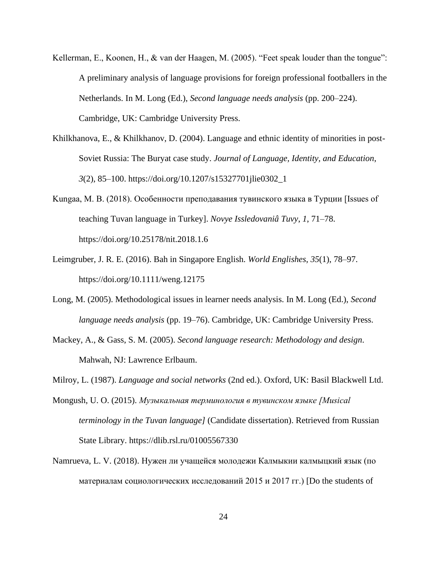- Kellerman, E., Koonen, H., & van der Haagen, M. (2005). "Feet speak louder than the tongue": A preliminary analysis of language provisions for foreign professional footballers in the Netherlands. In M. Long (Ed.), *Second language needs analysis* (pp. 200–224). Cambridge, UK: Cambridge University Press.
- Khilkhanova, E., & Khilkhanov, D. (2004). Language and ethnic identity of minorities in post-Soviet Russia: The Buryat case study. *Journal of Language, Identity, and Education*, *3*(2), 85–100. https://doi.org/10.1207/s15327701jlie0302\_1
- Kungaa, M. B. (2018). Особенности преподавания тувинского языка в Турции [Issues of teaching Tuvan language in Turkey]. *Novye Issledovaniâ Tuvy*, *1*, 71–78. https://doi.org/10.25178/nit.2018.1.6
- Leimgruber, J. R. E. (2016). Bah in Singapore English. *World Englishes*, *35*(1), 78–97. https://doi.org/10.1111/weng.12175
- Long, M. (2005). Methodological issues in learner needs analysis. In M. Long (Ed.), *Second language needs analysis* (pp. 19–76). Cambridge, UK: Cambridge University Press.
- Mackey, A., & Gass, S. M. (2005). *Second language research: Methodology and design*. Mahwah, NJ: Lawrence Erlbaum.

Milroy, L. (1987). *Language and social networks* (2nd ed.). Oxford, UK: Basil Blackwell Ltd.

- Mongush, U. O. (2015). *Музыкальная терминология в тувинском языке [Musical terminology in the Tuvan language]* (Candidate dissertation). Retrieved from Russian State Library. https://dlib.rsl.ru/01005567330
- Namrueva, L. V. (2018). Нужен ли учащейся молодежи Калмыкии калмыцкий язык (по материалам социологических исследований 2015 и 2017 гг.) [Do the students of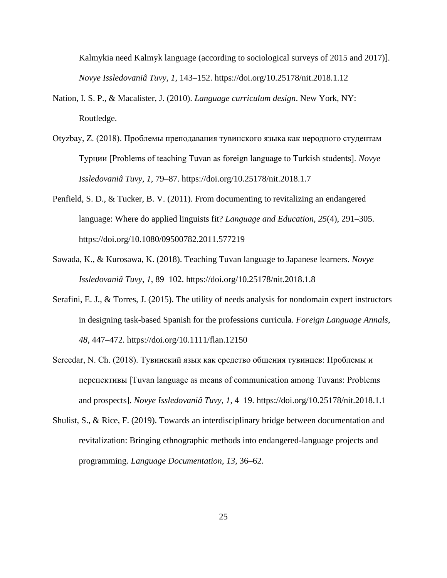Kalmykia need Kalmyk language (according to sociological surveys of 2015 and 2017)]. *Novye Issledovaniâ Tuvy*, *1*, 143–152. https://doi.org/10.25178/nit.2018.1.12

- Nation, I. S. P., & Macalister, J. (2010). *Language curriculum design*. New York, NY: Routledge.
- Otyzbay, Z. (2018). Проблемы преподавания тувинского языка как неродного студентам Турции [Problems of teaching Tuvan as foreign language to Turkish students]. *Novye Issledovaniâ Tuvy*, *1*, 79–87. https://doi.org/10.25178/nit.2018.1.7
- Penfield, S. D., & Tucker, B. V. (2011). From documenting to revitalizing an endangered language: Where do applied linguists fit? *Language and Education*, *25*(4), 291–305. https://doi.org/10.1080/09500782.2011.577219
- Sawada, K., & Kurosawa, K. (2018). Teaching Tuvan language to Japanese learners. *Novye Issledovaniâ Tuvy*, *1*, 89–102. https://doi.org/10.25178/nit.2018.1.8
- Serafini, E. J., & Torres, J. (2015). The utility of needs analysis for nondomain expert instructors in designing task-based Spanish for the professions curricula. *Foreign Language Annals*, *48*, 447–472. https://doi.org/10.1111/flan.12150
- Sereedar, N. Ch. (2018). Тувинский язык как средство общения тувинцев: Проблемы и перспективы [Tuvan language as means of communication among Tuvans: Problems and prospects]. *Novye Issledovaniâ Tuvy*, *1*, 4–19. https://doi.org/10.25178/nit.2018.1.1
- Shulist, S., & Rice, F. (2019). Towards an interdisciplinary bridge between documentation and revitalization: Bringing ethnographic methods into endangered-language projects and programming. *Language Documentation*, *13*, 36–62.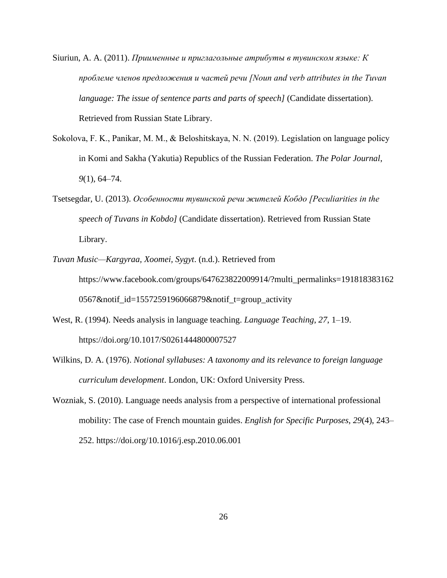Siuriun, A. A. (2011). *Приименные и приглагольные атрибуты в тувинском языке: К проблеме членов предложения и частей речи [Noun and verb attributes in the Tuvan language: The issue of sentence parts and parts of speech]* (Candidate dissertation). Retrieved from Russian State Library.

- Sokolova, F. K., Panikar, M. М., & Beloshitskaya, N. N. (2019). Legislation on language policy in Komi and Sakha (Yakutia) Republics of the Russian Federation. *The Polar Journal*, *9*(1), 64–74.
- Tsetsegdar, U. (2013). *Особенности тувинской речи жителей Кобдо [Peculiarities in the speech of Tuvans in Kobdo]* (Candidate dissertation). Retrieved from Russian State Library.
- *Tuvan Music—Kargyraa, Xoomei, Sygyt*. (n.d.). Retrieved from https://www.facebook.com/groups/647623822009914/?multi\_permalinks=191818383162 0567&notif\_id=1557259196066879&notif\_t=group\_activity
- West, R. (1994). Needs analysis in language teaching. *Language Teaching*, *27*, 1–19. https://doi.org/10.1017/S0261444800007527
- Wilkins, D. A. (1976). *Notional syllabuses: A taxonomy and its relevance to foreign language curriculum development*. London, UK: Oxford University Press.
- Wozniak, S. (2010). Language needs analysis from a perspective of international professional mobility: The case of French mountain guides. *English for Specific Purposes*, *29*(4), 243– 252. https://doi.org/10.1016/j.esp.2010.06.001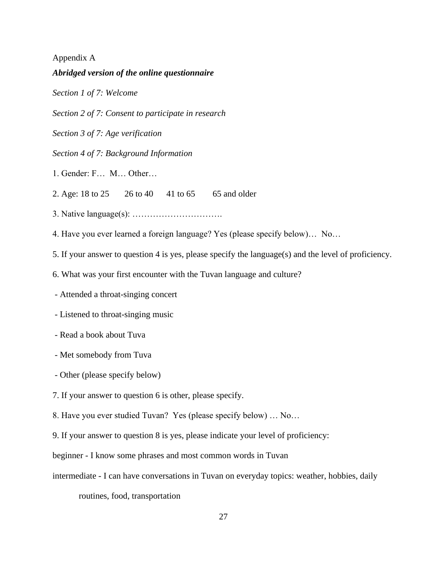#### Appendix A

#### *Abridged version of the online questionnaire*

*Section 1 of 7: Welcome*

*Section 2 of 7: Consent to participate in research*

*Section 3 of 7: Age verification*

*Section 4 of 7: Background Information*

1. Gender: F… M… Other…

2. Age: 18 to 25  $26 \text{ to } 40$  41 to 65 65 and older

3. Native language(s): ………………………….

4. Have you ever learned a foreign language? Yes (please specify below)… No…

5. If your answer to question 4 is yes, please specify the language(s) and the level of proficiency.

6. What was your first encounter with the Tuvan language and culture?

- Attended a throat-singing concert

- Listened to throat-singing music

- Read a book about Tuva

- Met somebody from Tuva
- Other (please specify below)

7. If your answer to question 6 is other, please specify.

8. Have you ever studied Tuvan? Yes (please specify below) … No…

9. If your answer to question 8 is yes, please indicate your level of proficiency:

beginner - I know some phrases and most common words in Tuvan

intermediate - I can have conversations in Tuvan on everyday topics: weather, hobbies, daily

routines, food, transportation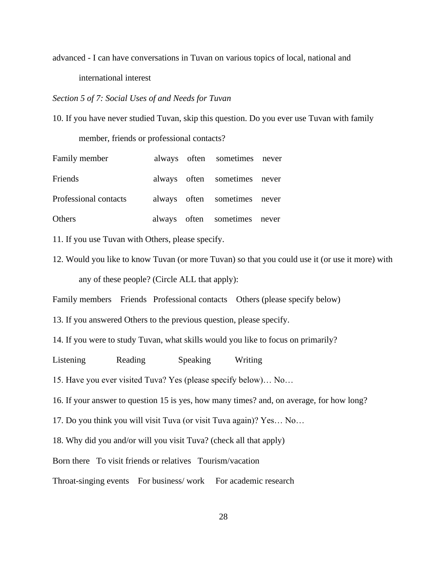advanced - I can have conversations in Tuvan on various topics of local, national and international interest

*Section 5 of 7: Social Uses of and Needs for Tuvan*

10. If you have never studied Tuvan, skip this question. Do you ever use Tuvan with family

member, friends or professional contacts?

| Family member         |  | always often sometimes never |  |
|-----------------------|--|------------------------------|--|
| Friends               |  | always often sometimes never |  |
| Professional contacts |  | always often sometimes never |  |
| Others                |  | always often sometimes never |  |

11. If you use Tuvan with Others, please specify.

12. Would you like to know Tuvan (or more Tuvan) so that you could use it (or use it more) with any of these people? (Circle ALL that apply):

Family members Friends Professional contacts Others (please specify below)

- 13. If you answered Others to the previous question, please specify.
- 14. If you were to study Tuvan, what skills would you like to focus on primarily?

Listening Reading Speaking Writing

15. Have you ever visited Tuva? Yes (please specify below)… No…

16. If your answer to question 15 is yes, how many times? and, on average, for how long?

17. Do you think you will visit Tuva (or visit Tuva again)? Yes… No…

18. Why did you and/or will you visit Tuva? (check all that apply)

Born there To visit friends or relatives Tourism/vacation

Throat-singing events For business/ work For academic research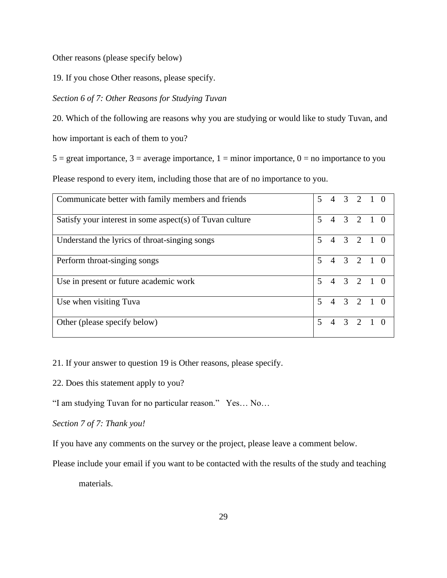Other reasons (please specify below)

19. If you chose Other reasons, please specify.

#### *Section 6 of 7: Other Reasons for Studying Tuvan*

20. Which of the following are reasons why you are studying or would like to study Tuvan, and how important is each of them to you?

 $5 =$  great importance,  $3 =$  average importance,  $1 =$  minor importance,  $0 =$  no importance to you Please respond to every item, including those that are of no importance to you.

| Communicate better with family members and friends       | 5                        |  | 4 3 2 1 0           |  |
|----------------------------------------------------------|--------------------------|--|---------------------|--|
| Satisfy your interest in some aspect(s) of Tuvan culture | $\overline{\mathbf{5}}$  |  | $4 \t3 \t2 \t1 \t0$ |  |
| Understand the lyrics of throat-singing songs            | $\overline{5}$           |  | $4 \t3 \t2 \t1 \t0$ |  |
| Perform throat-singing songs                             | $\overline{\phantom{0}}$ |  | $4 \t3 \t2 \t1 \t0$ |  |
| Use in present or future academic work                   | $\overline{\mathbf{z}}$  |  | $4 \t3 \t2 \t1 \t0$ |  |
| Use when visiting Tuva                                   | $\overline{\phantom{0}}$ |  | $4 \t3 \t2 \t1 \t0$ |  |
| Other (please specify below)                             | 5                        |  | 4 3 2 1 0           |  |

21. If your answer to question 19 is Other reasons, please specify.

22. Does this statement apply to you?

"I am studying Tuvan for no particular reason." Yes… No…

*Section 7 of 7: Thank you!*

If you have any comments on the survey or the project, please leave a comment below.

Please include your email if you want to be contacted with the results of the study and teaching

materials.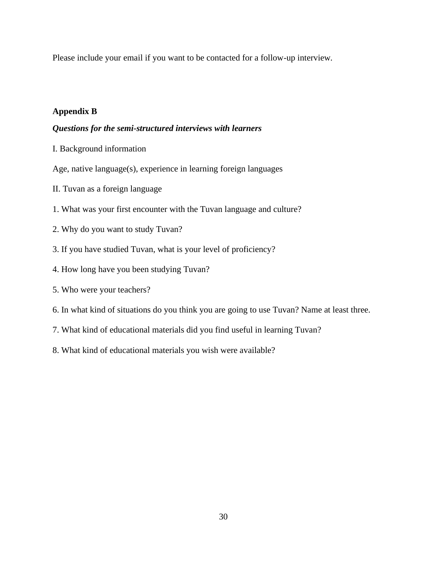Please include your email if you want to be contacted for a follow-up interview*.*

### **Appendix B**

#### *Questions for the semi-structured interviews with learners*

I. Background information

Age, native language(s), experience in learning foreign languages

- II. Tuvan as a foreign language
- 1. What was your first encounter with the Tuvan language and culture?
- 2. Why do you want to study Tuvan?
- 3. If you have studied Tuvan, what is your level of proficiency?
- 4. How long have you been studying Tuvan?
- 5. Who were your teachers?
- 6. In what kind of situations do you think you are going to use Tuvan? Name at least three.
- 7. What kind of educational materials did you find useful in learning Tuvan?
- 8. What kind of educational materials you wish were available?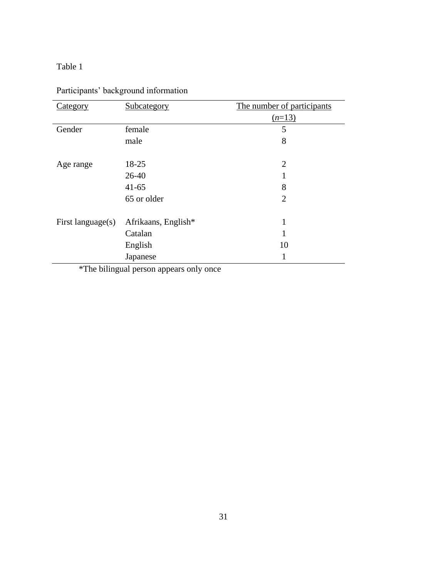### Table 1

| Category          | Subcategory         | The number of participants |  |
|-------------------|---------------------|----------------------------|--|
|                   |                     | $(n=13)$                   |  |
| Gender            | female              | 5                          |  |
|                   | male                | 8                          |  |
|                   |                     |                            |  |
| Age range         | 18-25               | $\overline{2}$             |  |
|                   | $26-40$             |                            |  |
|                   | $41 - 65$           | 8                          |  |
|                   | 65 or older         | $\overline{2}$             |  |
|                   |                     |                            |  |
| First language(s) | Afrikaans, English* | 1                          |  |
|                   | Catalan             | 1                          |  |
|                   | English             | 10                         |  |
|                   | Japanese            | 1                          |  |

Participants' background information

\*The bilingual person appears only once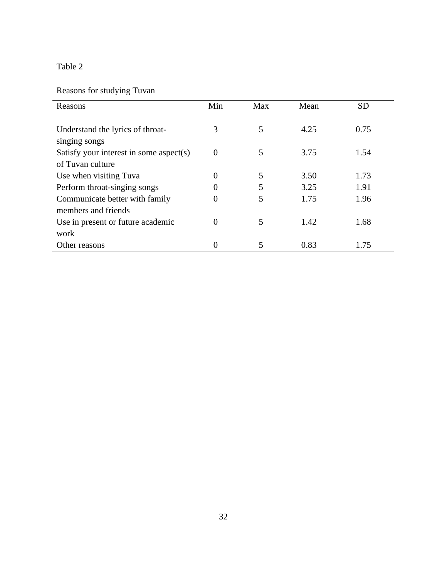# Table 2

# Reasons for studying Tuvan

| Reasons                                 | Min            | Max | Mean | <b>SD</b> |
|-----------------------------------------|----------------|-----|------|-----------|
|                                         |                |     |      |           |
| Understand the lyrics of throat-        | 3              | 5   | 4.25 | 0.75      |
| singing songs                           |                |     |      |           |
| Satisfy your interest in some aspect(s) | $\overline{0}$ | 5   | 3.75 | 1.54      |
| of Tuvan culture                        |                |     |      |           |
| Use when visiting Tuva                  | 0              | 5   | 3.50 | 1.73      |
| Perform throat-singing songs            |                | 5   | 3.25 | 1.91      |
| Communicate better with family          | 0              | 5   | 1.75 | 1.96      |
| members and friends                     |                |     |      |           |
| Use in present or future academic       | 0              | 5   | 1.42 | 1.68      |
| work                                    |                |     |      |           |
| Other reasons                           | 0              | 5   | 0.83 | 1.75      |